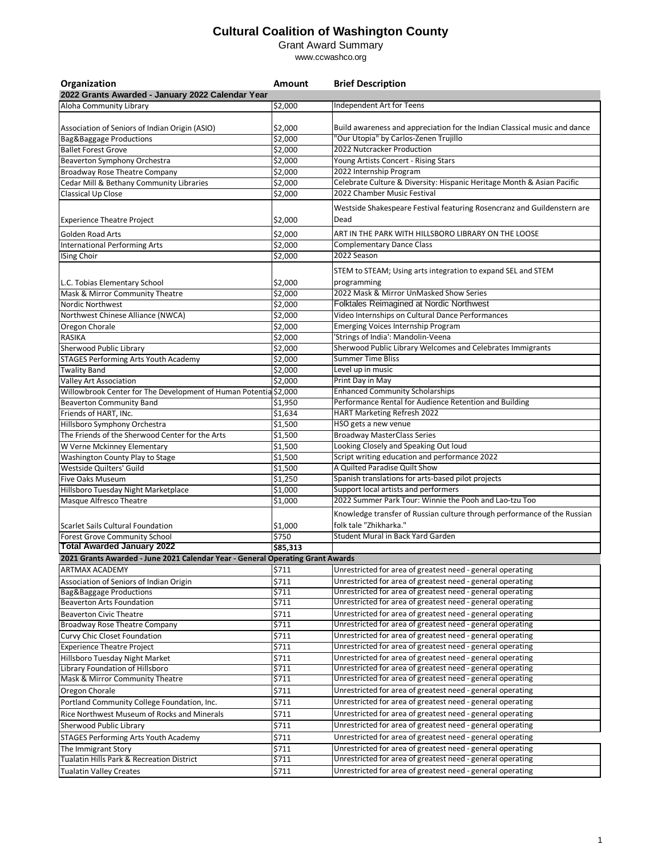Grant Award Summary

| Organization                                                                   | Amount   | <b>Brief Description</b>                                                                                                           |
|--------------------------------------------------------------------------------|----------|------------------------------------------------------------------------------------------------------------------------------------|
| 2022 Grants Awarded - January 2022 Calendar Year                               |          |                                                                                                                                    |
| Aloha Community Library                                                        | \$2,000  | Independent Art for Teens                                                                                                          |
| Association of Seniors of Indian Origin (ASIO)                                 | \$2.000  | Build awareness and appreciation for the Indian Classical music and dance                                                          |
| <b>Bag&amp;Baggage Productions</b>                                             | \$2,000  | "Our Utopia" by Carlos-Zenen Trujillo                                                                                              |
| <b>Ballet Forest Grove</b>                                                     | \$2,000  | 2022 Nutcracker Production                                                                                                         |
| Beaverton Symphony Orchestra                                                   | \$2,000  | Young Artists Concert - Rising Stars                                                                                               |
| Broadway Rose Theatre Company                                                  | \$2,000  | 2022 Internship Program                                                                                                            |
| Cedar Mill & Bethany Community Libraries                                       | \$2,000  | Celebrate Culture & Diversity: Hispanic Heritage Month & Asian Pacific                                                             |
| Classical Up Close                                                             | \$2,000  | 2022 Chamber Music Festival                                                                                                        |
|                                                                                |          | Westside Shakespeare Festival featuring Rosencranz and Guildenstern are                                                            |
| <b>Experience Theatre Project</b>                                              | \$2,000  | Dead                                                                                                                               |
| Golden Road Arts                                                               | \$2,000  | ART IN THE PARK WITH HILLSBORO LIBRARY ON THE LOOSE                                                                                |
| <b>International Performing Arts</b>                                           | \$2,000  | <b>Complementary Dance Class</b>                                                                                                   |
| <b>ISing Choir</b>                                                             | \$2,000  | 2022 Season                                                                                                                        |
|                                                                                |          | STEM to STEAM; Using arts integration to expand SEL and STEM                                                                       |
| L.C. Tobias Elementary School                                                  | \$2,000  | programming                                                                                                                        |
| Mask & Mirror Community Theatre                                                | \$2,000  | 2022 Mask & Mirror UnMasked Show Series                                                                                            |
| Nordic Northwest                                                               | \$2,000  | Folktales Reimagined at Nordic Northwest                                                                                           |
| Northwest Chinese Alliance (NWCA)                                              | \$2,000  | Video Internships on Cultural Dance Performances                                                                                   |
| Oregon Chorale                                                                 | \$2,000  | <b>Emerging Voices Internship Program</b>                                                                                          |
| <b>RASIKA</b>                                                                  | \$2,000  | 'Strings of India': Mandolin-Veena                                                                                                 |
| Sherwood Public Library                                                        | \$2,000  | Sherwood Public Library Welcomes and Celebrates Immigrants                                                                         |
| <b>STAGES Performing Arts Youth Academy</b>                                    | \$2,000  | <b>Summer Time Bliss</b>                                                                                                           |
| <b>Twality Band</b>                                                            | \$2,000  | Level up in music                                                                                                                  |
| Valley Art Association                                                         | \$2,000  | Print Day in May                                                                                                                   |
| Willowbrook Center for The Development of Human Potentia \$2,000               |          | <b>Enhanced Community Scholarships</b>                                                                                             |
| <b>Beaverton Community Band</b>                                                | \$1,950  | Performance Rental for Audience Retention and Building                                                                             |
| Friends of HART, INc.                                                          | \$1,634  | HART Marketing Refresh 2022                                                                                                        |
| Hillsboro Symphony Orchestra                                                   | \$1,500  | HSO gets a new venue                                                                                                               |
| The Friends of the Sherwood Center for the Arts                                | \$1,500  | <b>Broadway MasterClass Series</b>                                                                                                 |
| W Verne Mckinney Elementary                                                    | \$1,500  | Looking Closely and Speaking Out loud                                                                                              |
| Washington County Play to Stage                                                | \$1,500  | Script writing education and performance 2022                                                                                      |
| Westside Quilters' Guild                                                       | \$1,500  | A Quilted Paradise Quilt Show                                                                                                      |
| <b>Five Oaks Museum</b>                                                        | \$1,250  | Spanish translations for arts-based pilot projects                                                                                 |
| Hillsboro Tuesday Night Marketplace                                            | \$1,000  | Support local artists and performers                                                                                               |
| Masque Alfresco Theatre                                                        | \$1,000  | 2022 Summer Park Tour: Winnie the Pooh and Lao-tzu Too<br>Knowledge transfer of Russian culture through performance of the Russian |
| <b>Scarlet Sails Cultural Foundation</b>                                       | \$1,000  | folk tale "Zhikharka."                                                                                                             |
| Forest Grove Community School                                                  | \$750    | Student Mural in Back Yard Garden                                                                                                  |
| <b>Total Awarded January 2022</b>                                              | \$85,313 |                                                                                                                                    |
| 2021 Grants Awarded - June 2021 Calendar Year - General Operating Grant Awards |          |                                                                                                                                    |
| ARTMAX ACADEMY                                                                 | \$711    | Unrestricted for area of greatest need - general operating                                                                         |
| Association of Seniors of Indian Origin                                        | \$711    | Unrestricted for area of greatest need - general operating                                                                         |
| Bag&Baggage Productions                                                        | \$711    | Unrestricted for area of greatest need - general operating                                                                         |
| <b>Beaverton Arts Foundation</b>                                               | \$711    | Unrestricted for area of greatest need - general operating                                                                         |
| <b>Beaverton Civic Theatre</b>                                                 | \$711    | Unrestricted for area of greatest need - general operating                                                                         |
| <b>Broadway Rose Theatre Company</b>                                           | \$711    | Unrestricted for area of greatest need - general operating                                                                         |
| Curvy Chic Closet Foundation                                                   | \$711    | Unrestricted for area of greatest need - general operating                                                                         |
| <b>Experience Theatre Project</b>                                              | \$711    | Unrestricted for area of greatest need - general operating                                                                         |
| Hillsboro Tuesday Night Market                                                 | \$711    | Unrestricted for area of greatest need - general operating                                                                         |
| Library Foundation of Hillsboro                                                | \$711    | Unrestricted for area of greatest need - general operating                                                                         |
| Mask & Mirror Community Theatre                                                | \$711    | Unrestricted for area of greatest need - general operating                                                                         |
| Oregon Chorale                                                                 | \$711    | Unrestricted for area of greatest need - general operating                                                                         |
| Portland Community College Foundation, Inc.                                    | \$711    | Unrestricted for area of greatest need - general operating                                                                         |
| Rice Northwest Museum of Rocks and Minerals                                    | \$711    | Unrestricted for area of greatest need - general operating                                                                         |
| Sherwood Public Library                                                        | \$711    | Unrestricted for area of greatest need - general operating                                                                         |
| <b>STAGES Performing Arts Youth Academy</b>                                    | \$711    | Unrestricted for area of greatest need - general operating                                                                         |
| The Immigrant Story                                                            | \$711    | Unrestricted for area of greatest need - general operating                                                                         |
| Tualatin Hills Park & Recreation District                                      | \$711    | Unrestricted for area of greatest need - general operating                                                                         |
| <b>Tualatin Valley Creates</b>                                                 | \$711    | Unrestricted for area of greatest need - general operating                                                                         |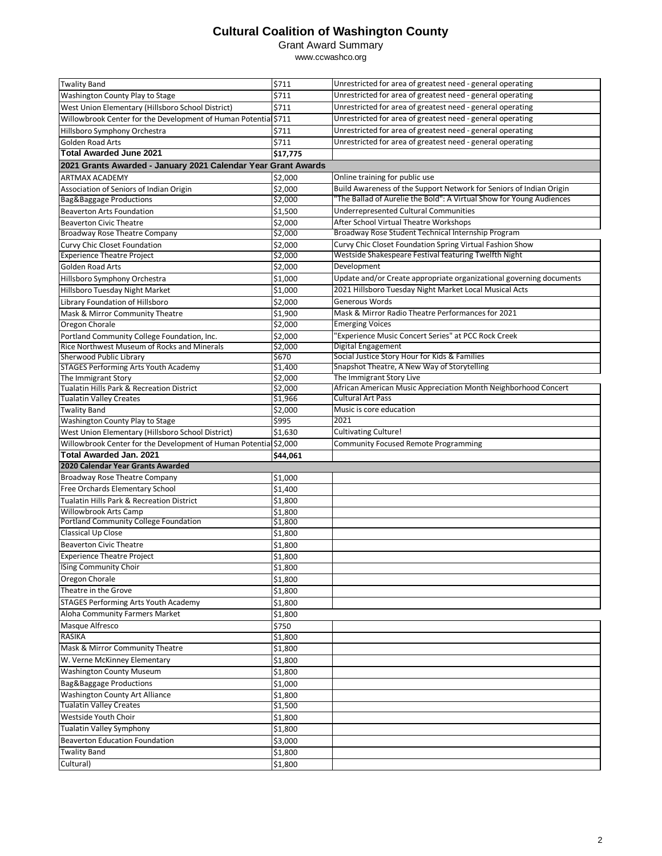#### Grant Award Summary

| <b>Twality Band</b>                                                           | \$711              | Unrestricted for area of greatest need - general operating                                   |
|-------------------------------------------------------------------------------|--------------------|----------------------------------------------------------------------------------------------|
| Washington County Play to Stage                                               | \$711              | Unrestricted for area of greatest need - general operating                                   |
| West Union Elementary (Hillsboro School District)                             | \$711              | Unrestricted for area of greatest need - general operating                                   |
| Willowbrook Center for the Development of Human Potential \$711               |                    | Unrestricted for area of greatest need - general operating                                   |
| Hillsboro Symphony Orchestra                                                  | \$711              | Unrestricted for area of greatest need - general operating                                   |
| <b>Golden Road Arts</b>                                                       | \$711              | Unrestricted for area of greatest need - general operating                                   |
| <b>Total Awarded June 2021</b>                                                | \$17,775           |                                                                                              |
| 2021 Grants Awarded - January 2021 Calendar Year Grant Awards                 |                    |                                                                                              |
| <b>ARTMAX ACADEMY</b>                                                         | \$2,000            | Online training for public use                                                               |
|                                                                               | \$2,000            | Build Awareness of the Support Network for Seniors of Indian Origin                          |
| Association of Seniors of Indian Origin<br><b>Bag&amp;Baggage Productions</b> | \$2,000            | 'The Ballad of Aurelie the Bold": A Virtual Show for Young Audiences                         |
| <b>Beaverton Arts Foundation</b>                                              | \$1,500            | <b>Underrepresented Cultural Communities</b>                                                 |
|                                                                               |                    | After School Virtual Theatre Workshops                                                       |
| <b>Beaverton Civic Theatre</b>                                                | \$2,000<br>\$2,000 | Broadway Rose Student Technical Internship Program                                           |
| Broadway Rose Theatre Company                                                 | \$2,000            | Curvy Chic Closet Foundation Spring Virtual Fashion Show                                     |
| Curvy Chic Closet Foundation<br><b>Experience Theatre Project</b>             | \$2,000            | Westside Shakespeare Festival featuring Twelfth Night                                        |
|                                                                               |                    | Development                                                                                  |
| Golden Road Arts                                                              | \$2,000            |                                                                                              |
| Hillsboro Symphony Orchestra                                                  | \$1,000            | Update and/or Create appropriate organizational governing documents                          |
| Hillsboro Tuesday Night Market                                                | \$1,000            | 2021 Hillsboro Tuesday Night Market Local Musical Acts                                       |
| Library Foundation of Hillsboro                                               | \$2,000            | Generous Words                                                                               |
| Mask & Mirror Community Theatre                                               | \$1,900            | Mask & Mirror Radio Theatre Performances for 2021                                            |
| Oregon Chorale                                                                | \$2,000            | <b>Emerging Voices</b>                                                                       |
| Portland Community College Foundation, Inc.                                   | \$2,000            | "Experience Music Concert Series" at PCC Rock Creek                                          |
| Rice Northwest Museum of Rocks and Minerals                                   | \$2,000            | Digital Engagement                                                                           |
| Sherwood Public Library                                                       | \$670              | Social Justice Story Hour for Kids & Families<br>Snapshot Theatre, A New Way of Storytelling |
| <b>STAGES Performing Arts Youth Academy</b>                                   | \$1,400            | The Immigrant Story Live                                                                     |
| The Immigrant Story<br>Tualatin Hills Park & Recreation District              | \$2,000<br>\$2,000 | African American Music Appreciation Month Neighborhood Concert                               |
| <b>Tualatin Valley Creates</b>                                                | \$1,966            | <b>Cultural Art Pass</b>                                                                     |
| <b>Twality Band</b>                                                           | \$2,000            | Music is core education                                                                      |
| Washington County Play to Stage                                               | \$995              | 2021                                                                                         |
| West Union Elementary (Hillsboro School District)                             | \$1,630            | <b>Cultivating Culture!</b>                                                                  |
| Willowbrook Center for the Development of Human Potential \$2,000             |                    | <b>Community Focused Remote Programming</b>                                                  |
| <b>Total Awarded Jan. 2021</b>                                                | \$44,061           |                                                                                              |
|                                                                               |                    |                                                                                              |
|                                                                               |                    |                                                                                              |
| 2020 Calendar Year Grants Awarded                                             |                    |                                                                                              |
| Broadway Rose Theatre Company                                                 | \$1,000            |                                                                                              |
| Free Orchards Elementary School                                               | \$1,400            |                                                                                              |
| Tualatin Hills Park & Recreation District                                     | \$1,800            |                                                                                              |
| Willowbrook Arts Camp                                                         | \$1,800            |                                                                                              |
| Portland Community College Foundation                                         | \$1,800            |                                                                                              |
| Classical Up Close                                                            | \$1,800            |                                                                                              |
| <b>Beaverton Civic Theatre</b>                                                | \$1,800            |                                                                                              |
| <b>Experience Theatre Project</b>                                             | \$1,800            |                                                                                              |
| <b>ISing Community Choir</b>                                                  | \$1,800            |                                                                                              |
| Oregon Chorale                                                                | \$1,800            |                                                                                              |
| Theatre in the Grove                                                          | \$1,800            |                                                                                              |
| <b>STAGES Performing Arts Youth Academy</b>                                   | \$1,800            |                                                                                              |
| Aloha Community Farmers Market                                                | \$1,800            |                                                                                              |
| Masque Alfresco                                                               | \$750              |                                                                                              |
| <b>RASIKA</b>                                                                 | \$1,800            |                                                                                              |
| Mask & Mirror Community Theatre                                               | \$1,800            |                                                                                              |
| W. Verne McKinney Elementary                                                  | \$1,800            |                                                                                              |
| <b>Washington County Museum</b>                                               | \$1,800            |                                                                                              |
| <b>Bag&amp;Baggage Productions</b>                                            | \$1,000            |                                                                                              |
| Washington County Art Alliance                                                | \$1,800            |                                                                                              |
| <b>Tualatin Valley Creates</b>                                                | \$1,500            |                                                                                              |
| Westside Youth Choir                                                          | \$1,800            |                                                                                              |
| <b>Tualatin Valley Symphony</b>                                               | \$1,800            |                                                                                              |
| <b>Beaverton Education Foundation</b>                                         | \$3,000            |                                                                                              |
| <b>Twality Band</b>                                                           | \$1,800            |                                                                                              |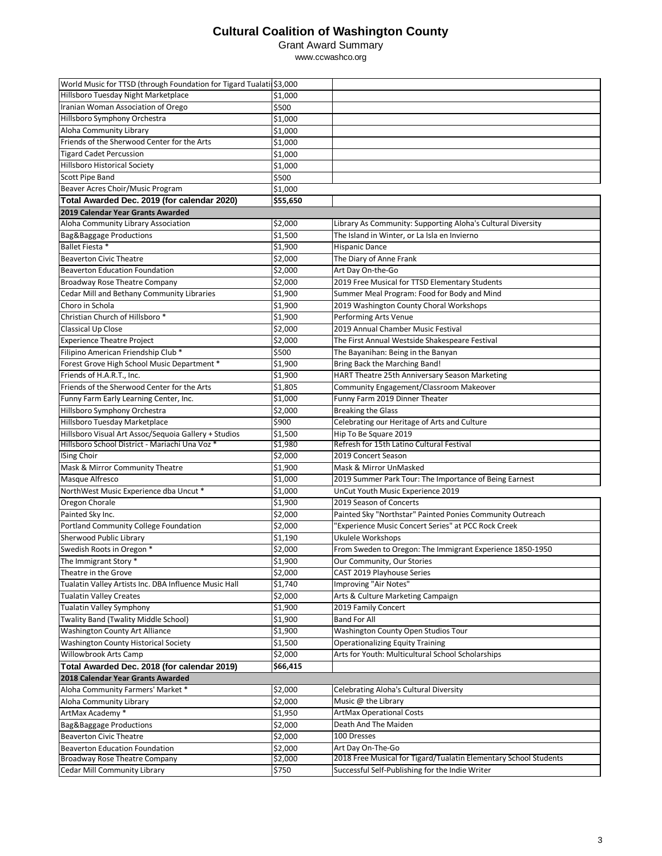#### Grant Award Summary

| World Music for TTSD (through Foundation for Tigard Tualatii\$3,000 |                     |                                                                                       |
|---------------------------------------------------------------------|---------------------|---------------------------------------------------------------------------------------|
| Hillsboro Tuesday Night Marketplace                                 | \$1,000             |                                                                                       |
| Iranian Woman Association of Orego                                  | \$500               |                                                                                       |
| Hillsboro Symphony Orchestra                                        | \$1,000             |                                                                                       |
| Aloha Community Library                                             | \$1,000             |                                                                                       |
| Friends of the Sherwood Center for the Arts                         | \$1,000             |                                                                                       |
| <b>Tigard Cadet Percussion</b>                                      | \$1,000             |                                                                                       |
| <b>Hillsboro Historical Society</b>                                 | \$1,000             |                                                                                       |
| Scott Pipe Band                                                     | \$500               |                                                                                       |
| Beaver Acres Choir/Music Program                                    | \$1,000             |                                                                                       |
| Total Awarded Dec. 2019 (for calendar 2020)                         | \$55,650            |                                                                                       |
| 2019 Calendar Year Grants Awarded                                   |                     |                                                                                       |
| Aloha Community Library Association                                 | \$2,000             | Library As Community: Supporting Aloha's Cultural Diversity                           |
| Bag&Baggage Productions                                             | $\overline{$}1,500$ | The Island in Winter, or La Isla en Invierno                                          |
| Ballet Fiesta *                                                     | \$1,900             | <b>Hispanic Dance</b>                                                                 |
| <b>Beaverton Civic Theatre</b>                                      | \$2,000             | The Diary of Anne Frank                                                               |
| <b>Beaverton Education Foundation</b>                               | \$2,000             | Art Day On-the-Go                                                                     |
| Broadway Rose Theatre Company                                       | \$2,000             | 2019 Free Musical for TTSD Elementary Students                                        |
| Cedar Mill and Bethany Community Libraries                          | $\sqrt{51,900}$     | Summer Meal Program: Food for Body and Mind                                           |
| Choro in Schola                                                     | \$1,900             | 2019 Washington County Choral Workshops                                               |
| Christian Church of Hillsboro*                                      | \$1,900             | Performing Arts Venue                                                                 |
| <b>Classical Up Close</b>                                           | \$2,000             | 2019 Annual Chamber Music Festival                                                    |
| <b>Experience Theatre Project</b>                                   | \$2,000             | The First Annual Westside Shakespeare Festival                                        |
| Filipino American Friendship Club *                                 | \$500               | The Bayanihan: Being in the Banyan                                                    |
| Forest Grove High School Music Department *                         | \$1,900             | <b>Bring Back the Marching Band!</b>                                                  |
| Friends of H.A.R.T., Inc.                                           | \$1,900             | HART Theatre 25th Anniversary Season Marketing                                        |
| Friends of the Sherwood Center for the Arts                         | \$1,805             | Community Engagement/Classroom Makeover                                               |
| Funny Farm Early Learning Center, Inc.                              | \$1,000             | Funny Farm 2019 Dinner Theater                                                        |
| Hillsboro Symphony Orchestra                                        | \$2,000             | <b>Breaking the Glass</b>                                                             |
| Hillsboro Tuesday Marketplace                                       | \$900               | Celebrating our Heritage of Arts and Culture                                          |
| Hillsboro Visual Art Assoc/Sequoia Gallery + Studios                | \$1,500             | Hip To Be Square 2019                                                                 |
| Hillsboro School District - Mariachi Una Voz <sup>*</sup>           | \$1,980             | Refresh for 15th Latino Cultural Festival                                             |
| <b>ISing Choir</b>                                                  | \$2,000             | 2019 Concert Season                                                                   |
| Mask & Mirror Community Theatre                                     | \$1,900             | Mask & Mirror UnMasked                                                                |
| Masque Alfresco                                                     | \$1,000             | 2019 Summer Park Tour: The Importance of Being Earnest                                |
| NorthWest Music Experience dba Uncut *                              | \$1,000             | UnCut Youth Music Experience 2019                                                     |
| Oregon Chorale                                                      | \$1,900             | 2019 Season of Concerts                                                               |
| Painted Sky Inc.                                                    | \$2,000             | Painted Sky "Northstar" Painted Ponies Community Outreach                             |
| Portland Community College Foundation                               | \$2,000             | "Experience Music Concert Series" at PCC Rock Creek                                   |
| Sherwood Public Library                                             | \$1,190             | Ukulele Workshops                                                                     |
| Swedish Roots in Oregon *                                           | \$2,000             | From Sweden to Oregon: The Immigrant Experience 1850-1950                             |
| The Immigrant Story *                                               | \$1,900             | Our Community, Our Stories                                                            |
| Theatre in the Grove                                                | \$2,000             | CAST 2019 Playhouse Series                                                            |
| Tualatin Valley Artists Inc. DBA Influence Music Hall               | \$1,740             | Improving "Air Notes"                                                                 |
| <b>Tualatin Valley Creates</b>                                      | \$2,000             | Arts & Culture Marketing Campaign                                                     |
| <b>Tualatin Valley Symphony</b>                                     | \$1,900             | 2019 Family Concert                                                                   |
| Twality Band (Twality Middle School)                                | \$1,900             | <b>Band For All</b>                                                                   |
| Washington County Art Alliance                                      | \$1,900             | Washington County Open Studios Tour                                                   |
| Washington County Historical Society                                | \$1,500             | <b>Operationalizing Equity Training</b>                                               |
| Willowbrook Arts Camp                                               | \$2,000             | Arts for Youth: Multicultural School Scholarships                                     |
|                                                                     | \$66,415            |                                                                                       |
| Total Awarded Dec. 2018 (for calendar 2019)                         |                     |                                                                                       |
| 2018 Calendar Year Grants Awarded                                   |                     |                                                                                       |
| Aloha Community Farmers' Market *                                   | \$2,000             | Celebrating Aloha's Cultural Diversity<br>Music @ the Library                         |
| Aloha Community Library                                             | \$2,000             |                                                                                       |
| ArtMax Academy *                                                    | \$1,950             | <b>ArtMax Operational Costs</b>                                                       |
| Bag&Baggage Productions                                             | \$2,000             | Death And The Maiden                                                                  |
| <b>Beaverton Civic Theatre</b>                                      | \$2,000             | 100 Dresses                                                                           |
| <b>Beaverton Education Foundation</b>                               | \$2,000             | Art Day On-The-Go<br>2018 Free Musical for Tigard/Tualatin Elementary School Students |
| Broadway Rose Theatre Company                                       | \$2,000<br>\$750    | Successful Self-Publishing for the Indie Writer                                       |
| Cedar Mill Community Library                                        |                     |                                                                                       |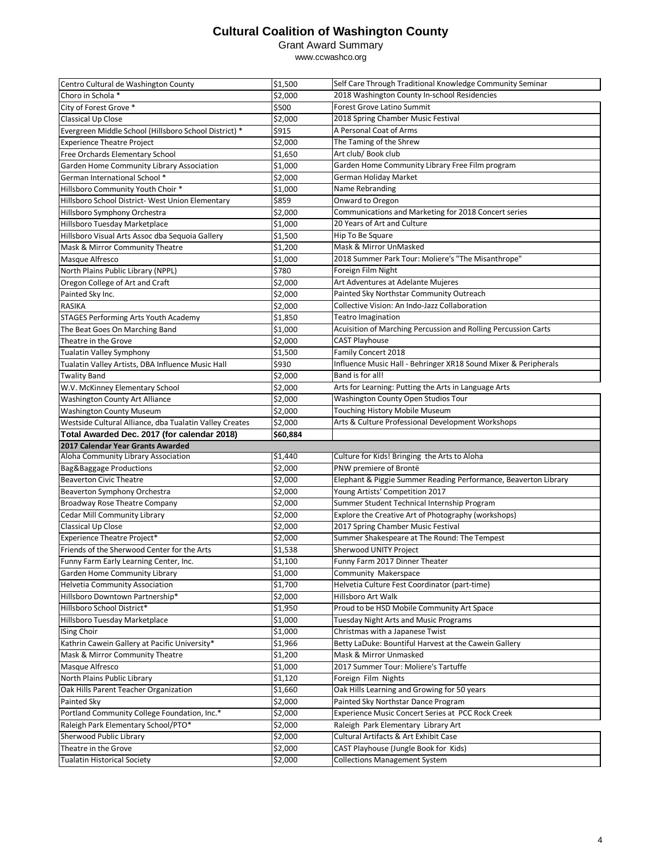#### Grant Award Summary

| Centro Cultural de Washington County                    | \$1,500            | Self Care Through Traditional Knowledge Community Seminar                      |
|---------------------------------------------------------|--------------------|--------------------------------------------------------------------------------|
| Choro in Schola *                                       | \$2,000            | 2018 Washington County In-school Residencies                                   |
| City of Forest Grove *                                  | \$500              | <b>Forest Grove Latino Summit</b>                                              |
| Classical Up Close                                      | \$2,000            | 2018 Spring Chamber Music Festival                                             |
| Evergreen Middle School (Hillsboro School District) *   | \$915              | A Personal Coat of Arms                                                        |
| <b>Experience Theatre Project</b>                       | \$2,000            | The Taming of the Shrew                                                        |
| Free Orchards Elementary School                         | \$1,650            | Art club/ Book club                                                            |
| Garden Home Community Library Association               | \$1,000            | Garden Home Community Library Free Film program                                |
| German International School *                           | \$2,000            | German Holiday Market                                                          |
| Hillsboro Community Youth Choir *                       | \$1,000            | Name Rebranding                                                                |
| Hillsboro School District- West Union Elementary        | \$859              | Onward to Oregon                                                               |
| Hillsboro Symphony Orchestra                            | \$2,000            | Communications and Marketing for 2018 Concert series                           |
| Hillsboro Tuesday Marketplace                           | \$1,000            | 20 Years of Art and Culture                                                    |
| Hillsboro Visual Arts Assoc dba Seguoia Gallery         | \$1,500            | Hip To Be Square                                                               |
| Mask & Mirror Community Theatre                         | \$1,200            | Mask & Mirror UnMasked                                                         |
|                                                         | \$1,000            | 2018 Summer Park Tour: Moliere's "The Misanthrope"                             |
| Masque Alfresco<br>North Plains Public Library (NPPL)   | \$780              | Foreign Film Night                                                             |
|                                                         |                    | Art Adventures at Adelante Mujeres                                             |
| Oregon College of Art and Craft                         | \$2,000            | Painted Sky Northstar Community Outreach                                       |
| Painted Sky Inc.                                        | \$2,000            |                                                                                |
| <b>RASIKA</b>                                           | \$2,000            | Collective Vision: An Indo-Jazz Collaboration                                  |
| STAGES Performing Arts Youth Academy                    | \$1,850            | <b>Teatro Imagination</b>                                                      |
| The Beat Goes On Marching Band                          | \$1,000            | Acuisition of Marching Percussion and Rolling Percussion Carts                 |
| Theatre in the Grove                                    | \$2,000            | <b>CAST Playhouse</b>                                                          |
| <b>Tualatin Valley Symphony</b>                         | \$1,500            | Family Concert 2018                                                            |
| Tualatin Valley Artists, DBA Influence Music Hall       | \$930              | Influence Music Hall - Behringer XR18 Sound Mixer & Peripherals                |
| <b>Twality Band</b>                                     | \$2,000            | Band is for all!                                                               |
| W.V. McKinney Elementary School                         | \$2,000            | Arts for Learning: Putting the Arts in Language Arts                           |
| Washington County Art Alliance                          | \$2,000            | Washington County Open Studios Tour                                            |
| <b>Washington County Museum</b>                         | \$2,000            | Touching History Mobile Museum                                                 |
|                                                         |                    |                                                                                |
| Westside Cultural Alliance, dba Tualatin Valley Creates | \$2,000            | Arts & Culture Professional Development Workshops                              |
| Total Awarded Dec. 2017 (for calendar 2018)             | \$60,884           |                                                                                |
| 2017 Calendar Year Grants Awarded                       |                    |                                                                                |
| Aloha Community Library Association                     | \$1,440            | Culture for Kids! Bringing the Arts to Aloha                                   |
| Bag&Baggage Productions                                 | \$2,000            | PNW premiere of Brontë                                                         |
| <b>Beaverton Civic Theatre</b>                          | \$2,000            | Elephant & Piggie Summer Reading Performance, Beaverton Library                |
| Beaverton Symphony Orchestra                            | \$2,000            | Young Artists' Competition 2017                                                |
| Broadway Rose Theatre Company                           | \$2,000            | Summer Student Technical Internship Program                                    |
| <b>Cedar Mill Community Library</b>                     | \$2,000            | Explore the Creative Art of Photography (workshops)                            |
| Classical Up Close                                      | \$2,000            | 2017 Spring Chamber Music Festival                                             |
| <b>Experience Theatre Project*</b>                      | \$2,000            | Summer Shakespeare at The Round: The Tempest                                   |
| Friends of the Sherwood Center for the Arts             | \$1,538            | Sherwood UNITY Project                                                         |
| Funny Farm Early Learning Center, Inc.                  | \$1,100            | Funny Farm 2017 Dinner Theater                                                 |
| Garden Home Community Library                           | \$1,000            | Community Makerspace                                                           |
| <b>Helvetia Community Association</b>                   | \$1,700            | Helvetia Culture Fest Coordinator (part-time)                                  |
| Hillsboro Downtown Partnership*                         | \$2,000            | Hillsboro Art Walk                                                             |
| Hillsboro School District*                              | \$1,950            | Proud to be HSD Mobile Community Art Space                                     |
| Hillsboro Tuesday Marketplace                           | \$1,000            | <b>Tuesday Night Arts and Music Programs</b>                                   |
| <b>ISing Choir</b>                                      | \$1,000            | Christmas with a Japanese Twist                                                |
| Kathrin Cawein Gallery at Pacific University*           | \$1,966            | Betty LaDuke: Bountiful Harvest at the Cawein Gallery                          |
| Mask & Mirror Community Theatre                         | \$1,200            | Mask & Mirror Unmasked                                                         |
| Masque Alfresco                                         | \$1,000            | 2017 Summer Tour: Moliere's Tartuffe                                           |
| North Plains Public Library                             | \$1,120            | Foreign Film Nights                                                            |
| Oak Hills Parent Teacher Organization                   |                    | Oak Hills Learning and Growing for 50 years                                    |
| Painted Sky                                             | \$1,660            |                                                                                |
|                                                         | \$2,000            | Painted Sky Northstar Dance Program                                            |
| Portland Community College Foundation, Inc.*            | \$2,000            | Experience Music Concert Series at PCC Rock Creek                              |
| Raleigh Park Elementary School/PTO*                     | \$2,000            | Raleigh Park Elementary Library Art                                            |
| Sherwood Public Library<br>Theatre in the Grove         | \$2,000            | Cultural Artifacts & Art Exhibit Case<br>CAST Playhouse (Jungle Book for Kids) |
| <b>Tualatin Historical Society</b>                      | \$2,000<br>\$2,000 | <b>Collections Management System</b>                                           |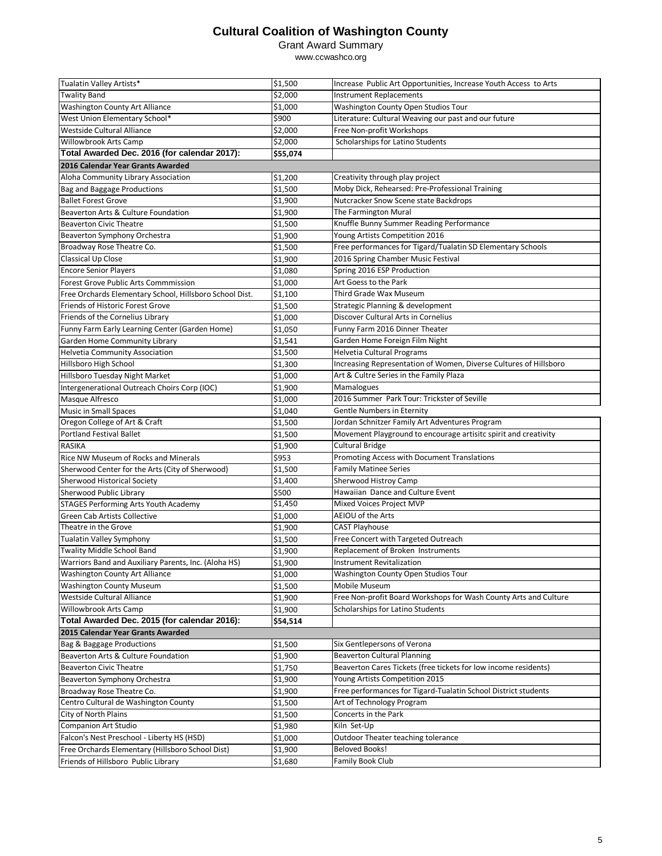Grant Award Summary

| Tualatin Valley Artists*                                | \$1,500  | Increase Public Art Opportunities, Increase Youth Access to Arts  |  |  |
|---------------------------------------------------------|----------|-------------------------------------------------------------------|--|--|
| <b>Twality Band</b>                                     | \$2,000  | <b>Instrument Replacements</b>                                    |  |  |
| Washington County Art Alliance                          | \$1,000  | Washington County Open Studios Tour                               |  |  |
| West Union Elementary School*                           | \$900    | Literature: Cultural Weaving our past and our future              |  |  |
| Westside Cultural Alliance                              | \$2,000  | Free Non-profit Workshops                                         |  |  |
| Willowbrook Arts Camp                                   | \$2,000  | Scholarships for Latino Students                                  |  |  |
| Total Awarded Dec. 2016 (for calendar 2017):            | \$55,074 |                                                                   |  |  |
| 2016 Calendar Year Grants Awarded                       |          |                                                                   |  |  |
| Aloha Community Library Association                     | \$1,200  | Creativity through play project                                   |  |  |
| Bag and Baggage Productions                             | \$1,500  | Moby Dick, Rehearsed: Pre-Professional Training                   |  |  |
| <b>Ballet Forest Grove</b>                              | \$1,900  | Nutcracker Snow Scene state Backdrops                             |  |  |
| Beaverton Arts & Culture Foundation                     | \$1,900  | The Farmington Mural                                              |  |  |
| <b>Beaverton Civic Theatre</b>                          | \$1,500  | Knuffle Bunny Summer Reading Performance                          |  |  |
| Beaverton Symphony Orchestra                            | \$1,900  | Young Artists Competition 2016                                    |  |  |
| Broadway Rose Theatre Co.                               | \$1,500  | Free performances for Tigard/Tualatin SD Elementary Schools       |  |  |
| Classical Up Close                                      | \$1,900  | 2016 Spring Chamber Music Festival                                |  |  |
| <b>Encore Senior Players</b>                            | \$1,080  | Spring 2016 ESP Production                                        |  |  |
| <b>Forest Grove Public Arts Commmission</b>             | \$1,000  | Art Goess to the Park                                             |  |  |
| Free Orchards Elementary School, Hillsboro School Dist. | \$1,100  | Third Grade Wax Museum                                            |  |  |
| Friends of Historic Forest Grove                        | \$1,500  | Strategic Planning & development                                  |  |  |
| Friends of the Cornelius Library                        | \$1,000  | Discover Cultural Arts in Cornelius                               |  |  |
| Funny Farm Early Learning Center (Garden Home)          | \$1,050  | Funny Farm 2016 Dinner Theater                                    |  |  |
| Garden Home Community Library                           | \$1,541  | Garden Home Foreign Film Night                                    |  |  |
| <b>Helvetia Community Association</b>                   | \$1,500  | Helvetia Cultural Programs                                        |  |  |
| Hillsboro High School                                   | \$1,300  | Increasing Representation of Women, Diverse Cultures of Hillsboro |  |  |
| Hillsboro Tuesday Night Market                          | \$1,000  | Art & Cultre Series in the Family Plaza                           |  |  |
| Intergenerational Outreach Choirs Corp (IOC)            | \$1,900  | Mamalogues                                                        |  |  |
| Masque Alfresco                                         | \$1,000  | 2016 Summer Park Tour: Trickster of Seville                       |  |  |
| Music in Small Spaces                                   | \$1,040  | Gentle Numbers in Eternity                                        |  |  |
| Oregon College of Art & Craft                           | \$1,500  | Jordan Schnitzer Family Art Adventures Program                    |  |  |
| <b>Portland Festival Ballet</b>                         | \$1,500  | Movement Playground to encourage artisitc spirit and creativity   |  |  |
| <b>RASIKA</b>                                           | \$1,900  | <b>Cultural Bridge</b>                                            |  |  |
| Rice NW Museum of Rocks and Minerals                    | \$953    | Promoting Access with Document Translations                       |  |  |
| Sherwood Center for the Arts (City of Sherwood)         | \$1,500  | <b>Family Matinee Series</b>                                      |  |  |
| Sherwood Historical Society                             | \$1,400  | Sherwood Histroy Camp                                             |  |  |
| Sherwood Public Library                                 | \$500    | Hawaiian Dance and Culture Event                                  |  |  |
| STAGES Performing Arts Youth Academy                    | \$1,450  | Mixed Voices Project MVP                                          |  |  |
| Green Cab Artists Collective                            | \$1,000  | AEIOU of the Arts                                                 |  |  |
| Theatre in the Grove                                    | \$1,900  | <b>CAST Playhouse</b>                                             |  |  |
| <b>Tualatin Valley Symphony</b>                         | \$1,500  | Free Concert with Targeted Outreach                               |  |  |
| <b>Twality Middle School Band</b>                       | \$1,900  | Replacement of Broken Instruments                                 |  |  |
| Warriors Band and Auxiliary Parents, Inc. (Aloha HS)    | \$1,900  | Instrument Revitalization                                         |  |  |
| Washington County Art Alliance                          | \$1,000  | Washington County Open Studios Tour                               |  |  |
| <b>Washington County Museum</b>                         | \$1,500  | Mobile Museum                                                     |  |  |
| Westside Cultural Alliance                              | \$1,900  | Free Non-profit Board Workshops for Wash County Arts and Culture  |  |  |
| <b>Willowbrook Arts Camp</b>                            | \$1,900  | Scholarships for Latino Students                                  |  |  |
| Total Awarded Dec. 2015 (for calendar 2016):            | \$54,514 |                                                                   |  |  |
| 2015 Calendar Year Grants Awarded                       |          |                                                                   |  |  |
| Bag & Baggage Productions                               | \$1,500  | Six Gentlepersons of Verona                                       |  |  |
| Beaverton Arts & Culture Foundation                     | \$1,900  | <b>Beaverton Cultural Planning</b>                                |  |  |
| <b>Beaverton Civic Theatre</b>                          | \$1,750  | Beaverton Cares Tickets (free tickets for low income residents)   |  |  |
| Beaverton Symphony Orchestra                            | \$1,900  | Young Artists Competition 2015                                    |  |  |
| Broadway Rose Theatre Co.                               | \$1,900  | Free performances for Tigard-Tualatin School District students    |  |  |
| Centro Cultural de Washington County                    | \$1,500  | Art of Technology Program                                         |  |  |
| City of North Plains                                    | \$1,500  | Concerts in the Park                                              |  |  |
| <b>Companion Art Studio</b>                             | \$1,980  | Kiln Set-Up                                                       |  |  |
| Falcon's Nest Preschool - Liberty HS (HSD)              | \$1,000  | Outdoor Theater teaching tolerance                                |  |  |
| Free Orchards Elementary (Hillsboro School Dist)        | \$1,900  | <b>Beloved Books!</b>                                             |  |  |
| Friends of Hillsboro Public Library                     | \$1,680  | <b>Family Book Club</b>                                           |  |  |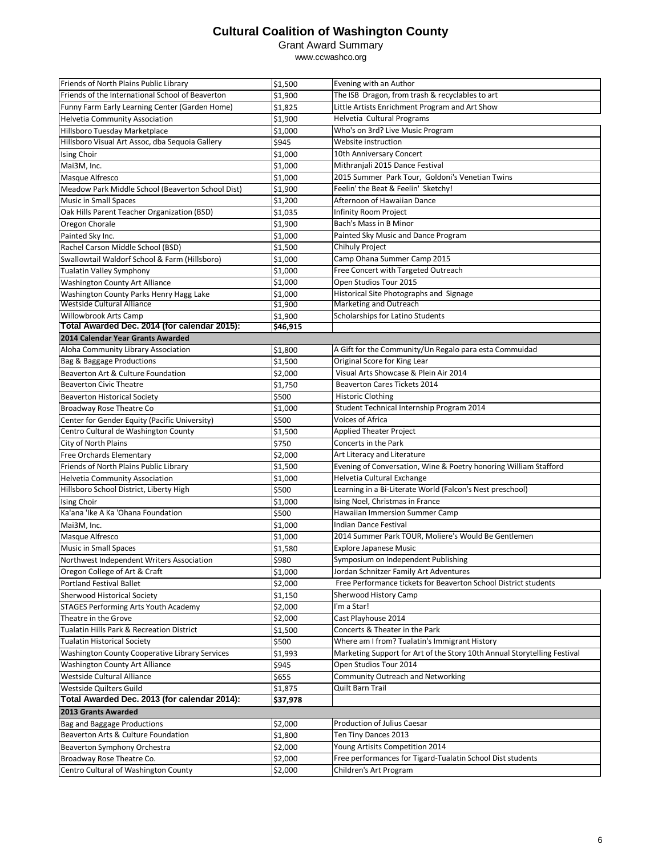#### Grant Award Summary

| Friends of North Plains Public Library                                    | \$1,500  | Evening with an Author                                                   |
|---------------------------------------------------------------------------|----------|--------------------------------------------------------------------------|
| Friends of the International School of Beaverton                          | \$1,900  | The ISB Dragon, from trash & recyclables to art                          |
| Funny Farm Early Learning Center (Garden Home)                            | \$1,825  | Little Artists Enrichment Program and Art Show                           |
| <b>Helvetia Community Association</b>                                     | \$1,900  | Helvetia Cultural Programs                                               |
| Hillsboro Tuesday Marketplace                                             | \$1,000  | Who's on 3rd? Live Music Program                                         |
| Hillsboro Visual Art Assoc, dba Sequoia Gallery                           | \$945    | Website instruction                                                      |
| Ising Choir                                                               | \$1,000  | 10th Anniversary Concert                                                 |
| Mai3M, Inc.                                                               | \$1,000  | Mithranjali 2015 Dance Festival                                          |
| Masque Alfresco                                                           | \$1,000  | 2015 Summer Park Tour, Goldoni's Venetian Twins                          |
| Meadow Park Middle School (Beaverton School Dist)                         | \$1,900  | Feelin' the Beat & Feelin' Sketchy!                                      |
| <b>Music in Small Spaces</b>                                              | \$1,200  | Afternoon of Hawaiian Dance                                              |
| Oak Hills Parent Teacher Organization (BSD)                               | \$1,035  | Infinity Room Project                                                    |
| Oregon Chorale                                                            | \$1,900  | Bach's Mass in B Minor                                                   |
| Painted Sky Inc.                                                          | \$1,000  | Painted Sky Music and Dance Program                                      |
| Rachel Carson Middle School (BSD)                                         | \$1,500  | Chihuly Project                                                          |
| Swallowtail Waldorf School & Farm (Hillsboro)                             | \$1,000  | Camp Ohana Summer Camp 2015                                              |
| Tualatin Valley Symphony                                                  | \$1,000  | Free Concert with Targeted Outreach                                      |
| Washington County Art Alliance                                            | \$1,000  | Open Studios Tour 2015                                                   |
| Washington County Parks Henry Hagg Lake                                   | \$1,000  | Historical Site Photographs and Signage                                  |
| <b>Westside Cultural Alliance</b>                                         | \$1,900  | Marketing and Outreach                                                   |
| Willowbrook Arts Camp                                                     | \$1,900  | Scholarships for Latino Students                                         |
| Total Awarded Dec. 2014 (for calendar 2015):                              | \$46,915 |                                                                          |
| 2014 Calendar Year Grants Awarded                                         |          |                                                                          |
| Aloha Community Library Association                                       | \$1,800  | A Gift for the Community/Un Regalo para esta Commuidad                   |
| Bag & Baggage Productions                                                 | \$1,500  | Original Score for King Lear                                             |
| Beaverton Art & Culture Foundation                                        | \$2,000  | Visual Arts Showcase & Plein Air 2014                                    |
| <b>Beaverton Civic Theatre</b>                                            | \$1,750  | <b>Beaverton Cares Tickets 2014</b>                                      |
| <b>Beaverton Historical Society</b>                                       | \$500    | <b>Historic Clothing</b>                                                 |
| Broadway Rose Theatre Co                                                  | \$1,000  | Student Technical Internship Program 2014                                |
| Center for Gender Equity (Pacific University)                             | \$500    | Voices of Africa                                                         |
| Centro Cultural de Washington County                                      | \$1,500  | <b>Applied Theater Project</b>                                           |
| City of North Plains                                                      | \$750    | Concerts in the Park                                                     |
| Free Orchards Elementary                                                  | \$2,000  | Art Literacy and Literature                                              |
| Friends of North Plains Public Library                                    | \$1,500  | Evening of Conversation, Wine & Poetry honoring William Stafford         |
| <b>Helvetia Community Association</b>                                     | \$1,000  | Helvetia Cultural Exchange                                               |
| Hillsboro School District, Liberty High                                   | \$500    | Learning in a Bi-Literate World (Falcon's Nest preschool)                |
| Ising Choir                                                               | \$1,000  | Ising Noel, Christmas in France                                          |
| Ka'ana 'Ike A Ka 'Ohana Foundation                                        | \$500    | Hawaiian Immersion Summer Camp                                           |
| Mai3M, Inc.                                                               | \$1,000  | <b>Indian Dance Festival</b>                                             |
| Masque Alfresco                                                           | \$1,000  | 2014 Summer Park TOUR, Moliere's Would Be Gentlemen                      |
| <b>Music in Small Spaces</b>                                              | \$1,580  | <b>Explore Japanese Music</b>                                            |
| Northwest Independent Writers Association                                 | \$980    | Symposium on Independent Publishing                                      |
| Oregon College of Art & Craft                                             | \$1,000  | Jordan Schnitzer Family Art Adventures                                   |
| <b>Portland Festival Ballet</b>                                           | \$2,000  | Free Performance tickets for Beaverton School District students          |
| Sherwood Historical Society                                               | \$1,150  | Sherwood History Camp                                                    |
| <b>STAGES Performing Arts Youth Academy</b>                               | \$2,000  | I'm a Star!                                                              |
| Theatre in the Grove                                                      | \$2,000  | Cast Playhouse 2014                                                      |
| Tualatin Hills Park & Recreation District                                 | \$1,500  | Concerts & Theater in the Park                                           |
| <b>Tualatin Historical Society</b>                                        | \$500    | Where am I from? Tualatin's Immigrant History                            |
| Washington County Cooperative Library Services                            | \$1,993  | Marketing Support for Art of the Story 10th Annual Storytelling Festival |
| Washington County Art Alliance                                            | \$945    | Open Studios Tour 2014                                                   |
| Westside Cultural Alliance                                                | \$655    | Community Outreach and Networking                                        |
| Westside Quilters Guild                                                   | \$1,875  | Quilt Barn Trail                                                         |
| Total Awarded Dec. 2013 (for calendar 2014):                              | \$37,978 |                                                                          |
| 2013 Grants Awarded                                                       |          |                                                                          |
|                                                                           | \$2,000  | Production of Julius Caesar                                              |
| <b>Bag and Baggage Productions</b><br>Beaverton Arts & Culture Foundation |          | Ten Tiny Dances 2013                                                     |
|                                                                           | \$1,800  | Young Artisits Competition 2014                                          |
| Beaverton Symphony Orchestra                                              | \$2,000  | Free performances for Tigard-Tualatin School Dist students               |
| Broadway Rose Theatre Co.<br>Centro Cultural of Washington County         | \$2,000  | Children's Art Program                                                   |
|                                                                           | \$2,000  |                                                                          |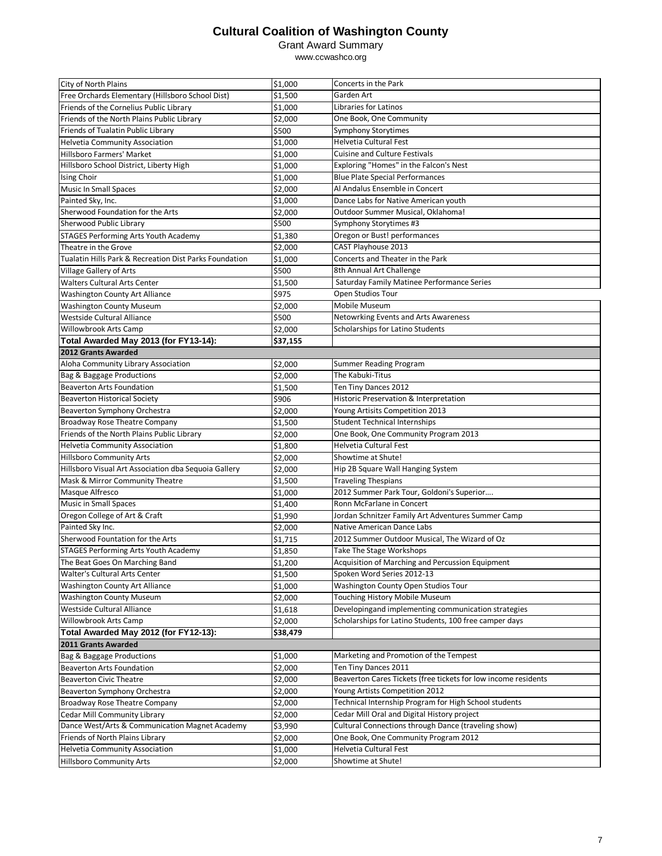Grant Award Summary

| City of North Plains                                          | \$1,000  | Concerts in the Park                                           |
|---------------------------------------------------------------|----------|----------------------------------------------------------------|
| Free Orchards Elementary (Hillsboro School Dist)              | \$1,500  | Garden Art                                                     |
| Friends of the Cornelius Public Library                       | \$1,000  | Libraries for Latinos                                          |
| Friends of the North Plains Public Library                    | \$2,000  | One Book, One Community                                        |
| Friends of Tualatin Public Library                            | \$500    | Symphony Storytimes                                            |
| <b>Helvetia Community Association</b>                         | \$1,000  | <b>Helvetia Cultural Fest</b>                                  |
| Hillsboro Farmers' Market                                     | \$1,000  | <b>Cuisine and Culture Festivals</b>                           |
| Hillsboro School District, Liberty High                       | \$1,000  | Exploring "Homes" in the Falcon's Nest                         |
| Ising Choir                                                   | \$1,000  | <b>Blue Plate Special Performances</b>                         |
| <b>Music In Small Spaces</b>                                  | \$2,000  | Al Andalus Ensemble in Concert                                 |
| Painted Sky, Inc.                                             | \$1,000  | Dance Labs for Native American youth                           |
| Sherwood Foundation for the Arts                              | \$2,000  | Outdoor Summer Musical, Oklahoma!                              |
| Sherwood Public Library                                       | \$500    | Symphony Storytimes #3                                         |
|                                                               |          |                                                                |
| STAGES Performing Arts Youth Academy                          | \$1,380  | Oregon or Bust! performances                                   |
| Theatre in the Grove                                          | \$2,000  | CAST Playhouse 2013                                            |
| Tualatin Hills Park & Recreation Dist Parks Foundation        | \$1,000  | Concerts and Theater in the Park                               |
| Village Gallery of Arts                                       | \$500    | 8th Annual Art Challenge                                       |
| <b>Walters Cultural Arts Center</b>                           | \$1,500  | Saturday Family Matinee Performance Series                     |
| Washington County Art Alliance                                | \$975    | Open Studios Tour                                              |
| <b>Washington County Museum</b>                               | \$2,000  | Mobile Museum                                                  |
| Westside Cultural Alliance                                    | \$500    | Netowrking Events and Arts Awareness                           |
| Willowbrook Arts Camp                                         | \$2,000  | Scholarships for Latino Students                               |
| Total Awarded May 2013 (for FY13-14):                         | \$37,155 |                                                                |
| 2012 Grants Awarded                                           |          |                                                                |
| Aloha Community Library Association                           | \$2,000  | Summer Reading Program                                         |
| Bag & Baggage Productions                                     | \$2,000  | The Kabuki-Titus                                               |
| <b>Beaverton Arts Foundation</b>                              | \$1,500  | Ten Tiny Dances 2012                                           |
| <b>Beaverton Historical Society</b>                           | \$906    | Historic Preservation & Interpretation                         |
| Beaverton Symphony Orchestra                                  | \$2,000  | Young Artisits Competition 2013                                |
| Broadway Rose Theatre Company                                 | \$1,500  | <b>Student Technical Internships</b>                           |
| Friends of the North Plains Public Library                    | \$2,000  | One Book, One Community Program 2013                           |
| <b>Helvetia Community Association</b>                         | \$1,800  | <b>Helvetia Cultural Fest</b>                                  |
| <b>Hillsboro Community Arts</b>                               | \$2,000  | Showtime at Shute!                                             |
| Hillsboro Visual Art Association dba Sequoia Gallery          | \$2,000  | Hip 2B Square Wall Hanging System                              |
| Mask & Mirror Community Theatre                               | \$1,500  | <b>Traveling Thespians</b>                                     |
| Masque Alfresco                                               | \$1,000  | 2012 Summer Park Tour, Goldoni's Superior                      |
| <b>Music in Small Spaces</b>                                  | \$1,400  | Ronn McFarlane in Concert                                      |
| Oregon College of Art & Craft                                 | \$1,990  | Jordan Schnitzer Family Art Adventures Summer Camp             |
| Painted Sky Inc.                                              | \$2,000  | Native American Dance Labs                                     |
| Sherwood Fountation for the Arts                              | \$1,715  | 2012 Summer Outdoor Musical, The Wizard of Oz                  |
| <b>STAGES Performing Arts Youth Academy</b>                   | \$1,850  | Take The Stage Workshops                                       |
| The Beat Goes On Marching Band                                | \$1,200  | Acquisition of Marching and Percussion Equipment               |
| Walter's Cultural Arts Center                                 | \$1,500  | Spoken Word Series 2012-13                                     |
| <b>Washington County Art Alliance</b>                         |          | Washington County Open Studios Tour                            |
|                                                               | \$1,000  | <b>Touching History Mobile Museum</b>                          |
| <b>Washington County Museum</b><br>Westside Cultural Alliance | \$2,000  |                                                                |
|                                                               | \$1,618  | Developingand implementing communication strategies            |
| Willowbrook Arts Camp                                         | \$2,000  | Scholarships for Latino Students, 100 free camper days         |
| Total Awarded May 2012 (for FY12-13):                         | \$38,479 |                                                                |
| 2011 Grants Awarded                                           |          |                                                                |
| Bag & Baggage Productions                                     | \$1,000  | Marketing and Promotion of the Tempest                         |
| <b>Beaverton Arts Foundation</b>                              | \$2,000  | Ten Tiny Dances 2011                                           |
| <b>Beaverton Civic Theatre</b>                                | \$2,000  | Beaverton Cares Tickets (free tickets for low income residents |
| Beaverton Symphony Orchestra                                  | \$2,000  | Young Artists Competition 2012                                 |
| Broadway Rose Theatre Company                                 | \$2,000  | Technical Internship Program for High School students          |
| Cedar Mill Community Library                                  | \$2,000  | Cedar Mill Oral and Digital History project                    |
| Dance West/Arts & Communication Magnet Academy                | \$3,990  | Cultural Connections through Dance (traveling show)            |
| Friends of North Plains Library                               | \$2,000  | One Book, One Community Program 2012                           |
| <b>Helvetia Community Association</b>                         | \$1,000  | Helvetia Cultural Fest                                         |
| <b>Hillsboro Community Arts</b>                               | \$2,000  | Showtime at Shute!                                             |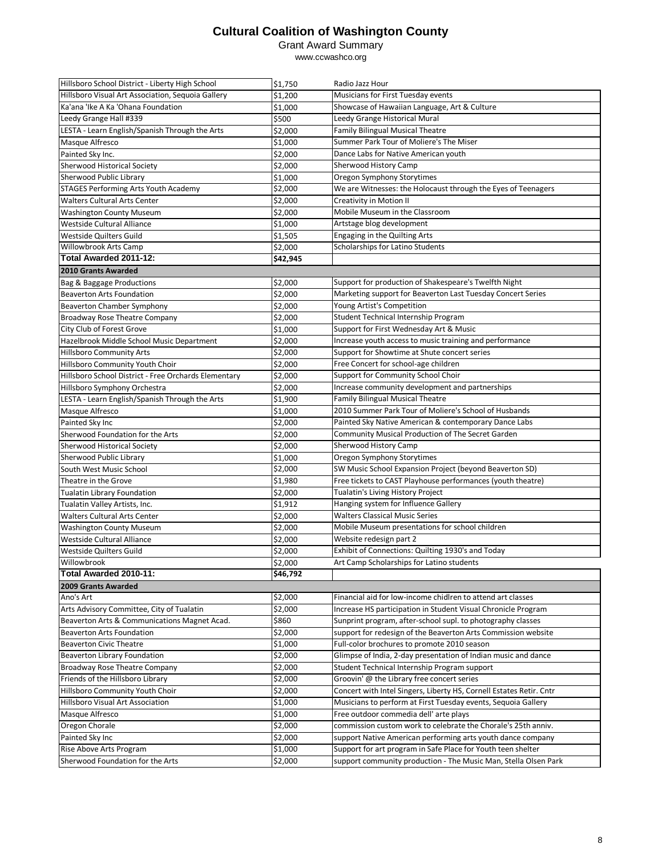#### Grant Award Summary

| Hillsboro School District - Liberty High School      | \$1,750             | Radio Jazz Hour                                                     |
|------------------------------------------------------|---------------------|---------------------------------------------------------------------|
| Hillsboro Visual Art Association, Sequoia Gallery    | \$1,200             | Musicians for First Tuesday events                                  |
| Ka'ana 'Ike A Ka 'Ohana Foundation                   | \$1,000             | Showcase of Hawaiian Language, Art & Culture                        |
| Leedy Grange Hall #339                               | \$500               | Leedy Grange Historical Mural                                       |
| LESTA - Learn English/Spanish Through the Arts       | \$2,000             | Family Bilingual Musical Theatre                                    |
| Masque Alfresco                                      | \$1,000             | Summer Park Tour of Moliere's The Miser                             |
| Painted Sky Inc.                                     | \$2,000             | Dance Labs for Native American youth                                |
| Sherwood Historical Society                          | \$2,000             | Sherwood History Camp                                               |
| Sherwood Public Library                              | \$1,000             | Oregon Symphony Storytimes                                          |
| STAGES Performing Arts Youth Academy                 | \$2,000             | We are Witnesses: the Holocaust through the Eyes of Teenagers       |
| <b>Walters Cultural Arts Center</b>                  | \$2,000             | <b>Creativity in Motion II</b>                                      |
| <b>Washington County Museum</b>                      | \$2,000             | Mobile Museum in the Classroom                                      |
| Westside Cultural Alliance                           | \$1,000             | Artstage blog development                                           |
| Westside Quilters Guild                              | \$1,505             | Engaging in the Quilting Arts                                       |
| Willowbrook Arts Camp                                | \$2,000             | Scholarships for Latino Students                                    |
| Total Awarded 2011-12:                               | \$42,945            |                                                                     |
| 2010 Grants Awarded                                  |                     |                                                                     |
|                                                      | \$2,000             | Support for production of Shakespeare's Twelfth Night               |
| Bag & Baggage Productions                            | \$2,000             | Marketing support for Beaverton Last Tuesday Concert Series         |
| <b>Beaverton Arts Foundation</b>                     |                     |                                                                     |
| <b>Beaverton Chamber Symphony</b>                    | \$2,000             | Young Artist's Competition<br>Student Technical Internship Program  |
| Broadway Rose Theatre Company                        | \$2,000             |                                                                     |
| City Club of Forest Grove                            | \$1,000             | Support for First Wednesday Art & Music                             |
| Hazelbrook Middle School Music Department            | \$2,000             | Increase youth access to music training and performance             |
| <b>Hillsboro Community Arts</b>                      | \$2,000             | Support for Showtime at Shute concert series                        |
| Hillsboro Community Youth Choir                      | \$2,000             | Free Concert for school-age children                                |
| Hillsboro School District - Free Orchards Elementary | \$2,000             | Support for Community School Choir                                  |
| Hillsboro Symphony Orchestra                         | \$2,000             | Increase community development and partnerships                     |
| LESTA - Learn English/Spanish Through the Arts       | \$1,900             | <b>Family Bilingual Musical Theatre</b>                             |
| Masque Alfresco                                      | \$1,000             | 2010 Summer Park Tour of Moliere's School of Husbands               |
| Painted Sky Inc                                      | \$2,000             | Painted Sky Native American & contemporary Dance Labs               |
| Sherwood Foundation for the Arts                     | \$2,000             | Community Musical Production of The Secret Garden                   |
| Sherwood Historical Society                          | \$2,000             | Sherwood History Camp                                               |
| Sherwood Public Library                              | \$1,000             | Oregon Symphony Storytimes                                          |
| South West Music School                              | \$2,000             | SW Music School Expansion Project (beyond Beaverton SD)             |
| Theatre in the Grove                                 | \$1,980             | Free tickets to CAST Playhouse performances (youth theatre)         |
| <b>Tualatin Library Foundation</b>                   | \$2,000             | Tualatin's Living History Project                                   |
| Tualatin Valley Artists, Inc.                        | \$1,912             | Hanging system for Influence Gallery                                |
| Walters Cultural Arts Center                         | \$2,000             | <b>Walters Classical Music Series</b>                               |
| <b>Washington County Museum</b>                      | \$2,000             | Mobile Museum presentations for school children                     |
| Westside Cultural Alliance                           | \$2,000             | Website redesign part 2                                             |
| Westside Quilters Guild                              | \$2,000             | Exhibit of Connections: Quilting 1930's and Today                   |
| Willowbrook                                          | \$2,000             | Art Camp Scholarships for Latino students                           |
| Total Awarded 2010-11:                               | \$46,792            |                                                                     |
| 2009 Grants Awarded                                  |                     |                                                                     |
| Ano's Art                                            | \$2,000             | Financial aid for low-income chidlren to attend art classes         |
| Arts Advisory Committee, City of Tualatin            | \$2,000             | Increase HS participation in Student Visual Chronicle Program       |
| Beaverton Arts & Communications Magnet Acad.         | \$860               | Sunprint program, after-school supl. to photography classes         |
| <b>Beaverton Arts Foundation</b>                     | \$2,000             | support for redesign of the Beaverton Arts Commission website       |
| <b>Beaverton Civic Theatre</b>                       | $\overline{$}1,000$ | Full-color brochures to promote 2010 season                         |
| Beaverton Library Foundation                         | $\frac{1}{52,000}$  | Glimpse of India, 2-day presentation of Indian music and dance      |
| <b>Broadway Rose Theatre Company</b>                 | \$2,000             | Student Technical Internship Program support                        |
| Friends of the Hillsboro Library                     | \$2,000             | Groovin' @ the Library free concert series                          |
| Hillsboro Community Youth Choir                      | \$2,000             | Concert with Intel Singers, Liberty HS, Cornell Estates Retir. Cntr |
| Hillsboro Visual Art Association                     | \$1,000             | Musicians to perform at First Tuesday events, Sequoia Gallery       |
| Masque Alfresco                                      | \$1,000             | Free outdoor commedia dell' arte plays                              |
| Oregon Chorale                                       | \$2,000             | commission custom work to celebrate the Chorale's 25th anniv.       |
| Painted Sky Inc                                      | \$2,000             | support Native American performing arts youth dance company         |
| Rise Above Arts Program                              | \$1,000             | Support for art program in Safe Place for Youth teen shelter        |
| Sherwood Foundation for the Arts                     | \$2,000             | support community production - The Music Man, Stella Olsen Park     |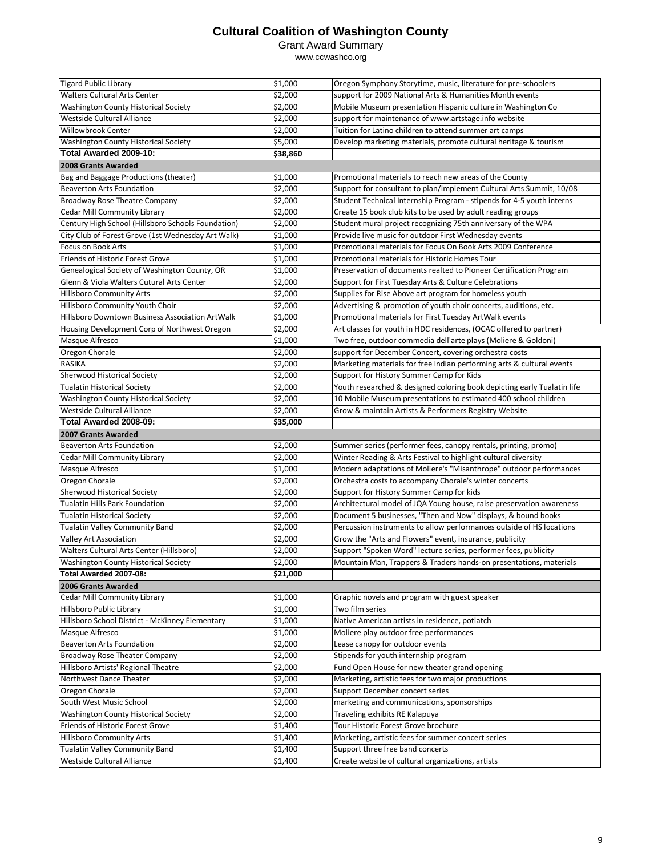Grant Award Summary

| <b>Tigard Public Library</b>                                          | \$1,000             | Oregon Symphony Storytime, music, literature for pre-schoolers          |
|-----------------------------------------------------------------------|---------------------|-------------------------------------------------------------------------|
| Walters Cultural Arts Center                                          | \$2,000             | support for 2009 National Arts & Humanities Month events                |
| Washington County Historical Society                                  | \$2,000             | Mobile Museum presentation Hispanic culture in Washington Co            |
| Westside Cultural Alliance                                            | \$2,000             | support for maintenance of www.artstage.info website                    |
| Willowbrook Center                                                    | \$2,000             | Tuition for Latino children to attend summer art camps                  |
| Washington County Historical Society                                  | \$5,000             | Develop marketing materials, promote cultural heritage & tourism        |
| Total Awarded 2009-10:                                                | \$38,860            |                                                                         |
| 2008 Grants Awarded                                                   |                     |                                                                         |
| Bag and Baggage Productions (theater)                                 | \$1,000             | Promotional materials to reach new areas of the County                  |
| <b>Beaverton Arts Foundation</b>                                      | \$2,000             | Support for consultant to plan/implement Cultural Arts Summit, 10/08    |
| <b>Broadway Rose Theatre Company</b>                                  | \$2,000             | Student Technical Internship Program - stipends for 4-5 youth interns   |
| Cedar Mill Community Library                                          | \$2,000             | Create 15 book club kits to be used by adult reading groups             |
| Century High School (Hillsboro Schools Foundation)                    | \$2,000             | Student mural project recognizing 75th anniversary of the WPA           |
| City Club of Forest Grove (1st Wednesday Art Walk)                    | \$1,000             | Provide live music for outdoor First Wednesday events                   |
| Focus on Book Arts                                                    | \$1,000             | Promotional materials for Focus On Book Arts 2009 Conference            |
| Friends of Historic Forest Grove                                      | \$1,000             | Promotional materials for Historic Homes Tour                           |
| Genealogical Society of Washington County, OR                         | \$1,000             | Preservation of documents realted to Pioneer Certification Program      |
| Glenn & Viola Walters Cutural Arts Center                             | \$2,000             | Support for First Tuesday Arts & Culture Celebrations                   |
| <b>Hillsboro Community Arts</b>                                       | \$2,000             | Supplies for Rise Above art program for homeless youth                  |
| Hillsboro Community Youth Choir                                       | \$2,000             | Advertising & promotion of youth choir concerts, auditions, etc.        |
| Hillsboro Downtown Business Association ArtWalk                       | \$1,000             | Promotional materials for First Tuesday ArtWalk events                  |
| Housing Development Corp of Northwest Oregon                          | \$2,000             | Art classes for youth in HDC residences, (OCAC offered to partner)      |
| Masque Alfresco                                                       | \$1,000             | Two free, outdoor commedia dell'arte plays (Moliere & Goldoni)          |
| Oregon Chorale                                                        | \$2,000             | support for December Concert, covering orchestra costs                  |
| <b>RASIKA</b>                                                         | \$2,000             | Marketing materials for free Indian performing arts & cultural events   |
| Sherwood Historical Society                                           | \$2,000             | Support for History Summer Camp for Kids                                |
| <b>Tualatin Historical Society</b>                                    | \$2,000             | Youth researched & designed coloring book depicting early Tualatin life |
| Washington County Historical Society                                  | \$2,000             | 10 Mobile Museum presentations to estimated 400 school children         |
| Westside Cultural Alliance                                            | \$2,000             | Grow & maintain Artists & Performers Registry Website                   |
| Total Awarded 2008-09:                                                | \$35,000            |                                                                         |
|                                                                       |                     |                                                                         |
|                                                                       |                     |                                                                         |
| 2007 Grants Awarded                                                   |                     |                                                                         |
| <b>Beaverton Arts Foundation</b>                                      | \$2,000             | Summer series (performer fees, canopy rentals, printing, promo)         |
| Cedar Mill Community Library                                          | \$2,000             | Winter Reading & Arts Festival to highlight cultural diversity          |
| Masque Alfresco                                                       | \$1,000             | Modern adaptations of Moliere's "Misanthrope" outdoor performances      |
| Oregon Chorale                                                        | \$2,000             | Orchestra costs to accompany Chorale's winter concerts                  |
| Sherwood Historical Society<br><b>Tualatin Hills Park Foundation</b>  | \$2,000             | Support for History Summer Camp for kids                                |
|                                                                       | \$2,000             | Architectural model of JQA Young house, raise preservation awareness    |
| <b>Tualatin Historical Society</b>                                    | \$2,000             | Document 5 businesses, "Then and Now" displays, & bound books           |
| <b>Tualatin Valley Community Band</b>                                 | \$2,000             | Percussion instruments to allow performances outside of HS locations    |
| Valley Art Association                                                | \$2,000<br>\$2,000  | Grow the "Arts and Flowers" event, insurance, publicity                 |
| Walters Cultural Arts Center (Hillsboro)                              |                     | Support "Spoken Word" lecture series, performer fees, publicity         |
| <b>Washington County Historical Society</b><br>Total Awarded 2007-08: | \$2,000<br>\$21,000 | Mountain Man, Trappers & Traders hands-on presentations, materials      |
|                                                                       |                     |                                                                         |
| 2006 Grants Awarded<br>Cedar Mill Community Library                   |                     | Graphic novels and program with guest speaker                           |
| Hillsboro Public Library                                              | \$1,000<br>\$1,000  | Two film series                                                         |
| Hillsboro School District - McKinney Elementary                       | \$1,000             | Native American artists in residence, potlatch                          |
| Masque Alfresco                                                       | \$1,000             | Moliere play outdoor free performances                                  |
| <b>Beaverton Arts Foundation</b>                                      | \$2,000             | Lease canopy for outdoor events                                         |
| Broadway Rose Theater Company                                         | \$2,000             | Stipends for youth internship program                                   |
| Hillsboro Artists' Regional Theatre                                   | \$2,000             | Fund Open House for new theater grand opening                           |
| Northwest Dance Theater                                               | \$2,000             | Marketing, artistic fees for two major productions                      |
| Oregon Chorale                                                        | \$2,000             | Support December concert series                                         |
| South West Music School                                               | \$2,000             | marketing and communications, sponsorships                              |
| Washington County Historical Society                                  | \$2,000             | Traveling exhibits RE Kalapuya                                          |
| Friends of Historic Forest Grove                                      | \$1,400             | Tour Historic Forest Grove brochure                                     |
| <b>Hillsboro Community Arts</b>                                       | \$1,400             | Marketing, artistic fees for summer concert series                      |
| Tualatin Valley Community Band                                        | \$1,400             | Support three free band concerts                                        |